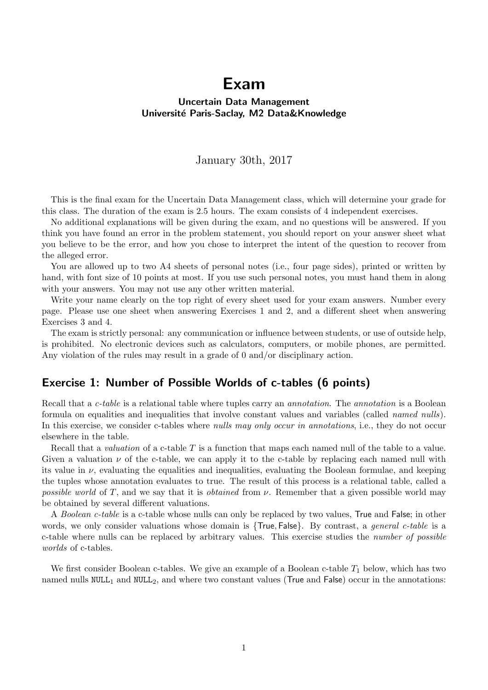# Exam

#### Uncertain Data Management Université Paris-Saclay, M2 Data&Knowledge

#### January 30th, 2017

This is the final exam for the Uncertain Data Management class, which will determine your grade for this class. The duration of the exam is 2.5 hours. The exam consists of 4 independent exercises.

No additional explanations will be given during the exam, and no questions will be answered. If you think you have found an error in the problem statement, you should report on your answer sheet what you believe to be the error, and how you chose to interpret the intent of the question to recover from the alleged error.

You are allowed up to two A4 sheets of personal notes (i.e., four page sides), printed or written by hand, with font size of 10 points at most. If you use such personal notes, you must hand them in along with your answers. You may not use any other written material.

Write your name clearly on the top right of every sheet used for your exam answers. Number every page. Please use one sheet when answering Exercises 1 and 2, and a different sheet when answering Exercises 3 and 4.

The exam is strictly personal: any communication or influence between students, or use of outside help, is prohibited. No electronic devices such as calculators, computers, or mobile phones, are permitted. Any violation of the rules may result in a grade of 0 and/or disciplinary action.

### Exercise 1: Number of Possible Worlds of c-tables (6 points)

Recall that a *c-table* is a relational table where tuples carry an *annotation*. The *annotation* is a Boolean formula on equalities and inequalities that involve constant values and variables (called named nulls). In this exercise, we consider c-tables where nulls may only occur in annotations, i.e., they do not occur elsewhere in the table.

Recall that a *valuation* of a c-table  $T$  is a function that maps each named null of the table to a value. Given a valuation  $\nu$  of the c-table, we can apply it to the c-table by replacing each named null with its value in  $\nu$ , evaluating the equalities and inequalities, evaluating the Boolean formulae, and keeping the tuples whose annotation evaluates to true. The result of this process is a relational table, called a possible world of T, and we say that it is *obtained* from  $\nu$ . Remember that a given possible world may be obtained by several different valuations.

A Boolean c-table is a c-table whose nulls can only be replaced by two values, True and False; in other words, we only consider valuations whose domain is  $\{True, False\}$ . By contrast, a *general c-table* is a c-table where nulls can be replaced by arbitrary values. This exercise studies the number of possible worlds of c-tables.

We first consider Boolean c-tables. We give an example of a Boolean c-table  $T_1$  below, which has two named nulls  $NULL_1$  and  $NULL_2$ , and where two constant values (True and False) occur in the annotations: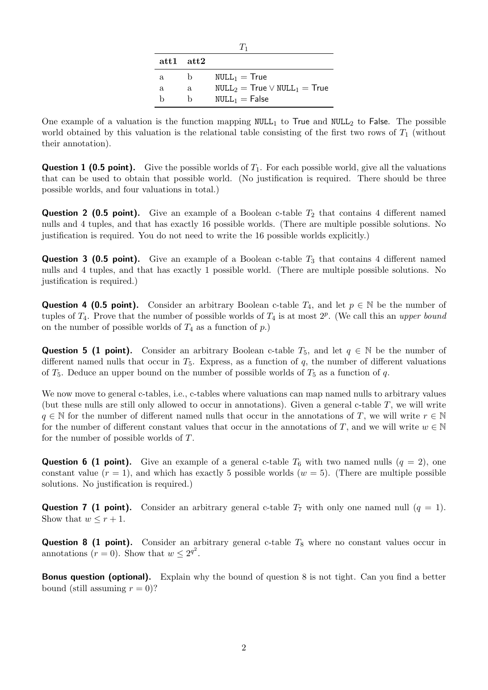| 75   |      |                                    |  |  |  |  |
|------|------|------------------------------------|--|--|--|--|
| att1 | att2 |                                    |  |  |  |  |
| a.   | h    | $NULL_1 = True$                    |  |  |  |  |
| a.   | a    | $NULL_2 = True \vee NULL_1 = True$ |  |  |  |  |
| h    | h    | $NULL_1 = False$                   |  |  |  |  |

One example of a valuation is the function mapping  $NULL_1$  to True and  $NULL_2$  to False. The possible world obtained by this valuation is the relational table consisting of the first two rows of  $T_1$  (without their annotation).

**Question 1 (0.5 point).** Give the possible worlds of  $T_1$ . For each possible world, give all the valuations that can be used to obtain that possible world. (No justification is required. There should be three possible worlds, and four valuations in total.)

**Question 2 (0.5 point).** Give an example of a Boolean c-table  $T_2$  that contains 4 different named nulls and 4 tuples, and that has exactly 16 possible worlds. (There are multiple possible solutions. No justification is required. You do not need to write the 16 possible worlds explicitly.)

**Question 3 (0.5 point).** Give an example of a Boolean c-table  $T_3$  that contains 4 different named nulls and 4 tuples, and that has exactly 1 possible world. (There are multiple possible solutions. No justification is required.)

**Question 4 (0.5 point).** Consider an arbitrary Boolean c-table  $T_4$ , and let  $p \in \mathbb{N}$  be the number of tuples of  $T_4$ . Prove that the number of possible worlds of  $T_4$  is at most  $2^p$ . (We call this an upper bound on the number of possible worlds of  $T_4$  as a function of  $p$ .)

Question 5 (1 point). Consider an arbitrary Boolean c-table  $T_5$ , and let  $q \in \mathbb{N}$  be the number of different named nulls that occur in  $T_5$ . Express, as a function of q, the number of different valuations of  $T_5$ . Deduce an upper bound on the number of possible worlds of  $T_5$  as a function of q.

We now move to general c-tables, i.e., c-tables where valuations can map named nulls to arbitrary values (but these nulls are still only allowed to occur in annotations). Given a general c-table  $T$ , we will write  $q \in \mathbb{N}$  for the number of different named nulls that occur in the annotations of T, we will write  $r \in \mathbb{N}$ for the number of different constant values that occur in the annotations of T, and we will write  $w \in \mathbb{N}$ for the number of possible worlds of T.

**Question 6 (1 point).** Give an example of a general c-table  $T_6$  with two named nulls  $(q = 2)$ , one constant value  $(r = 1)$ , and which has exactly 5 possible worlds  $(w = 5)$ . (There are multiple possible solutions. No justification is required.)

**Question 7 (1 point).** Consider an arbitrary general c-table  $T_7$  with only one named null  $(q = 1)$ . Show that  $w \leq r+1$ .

**Question 8 (1 point).** Consider an arbitrary general c-table  $T_8$  where no constant values occur in annotations  $(r = 0)$ . Show that  $w \leq 2^{q^2}$ .

**Bonus question (optional).** Explain why the bound of question 8 is not tight. Can you find a better bound (still assuming  $r = 0$ )?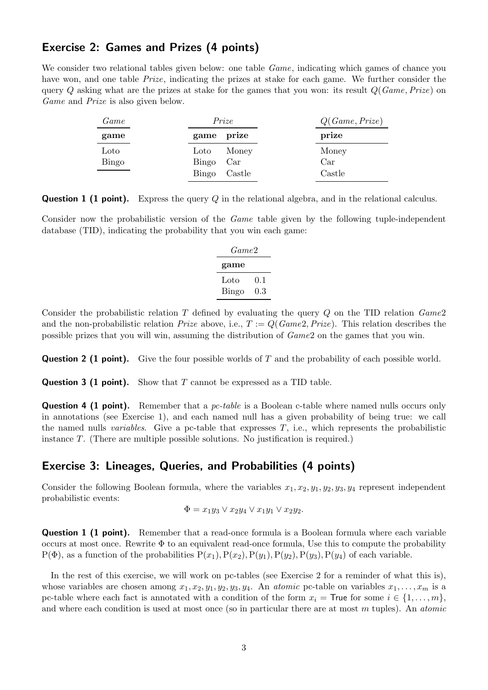#### Exercise 2: Games and Prizes (4 points)

We consider two relational tables given below: one table *Game*, indicating which games of chance you have won, and one table *Prize*, indicating the prizes at stake for each game. We further consider the query Q asking what are the prizes at stake for the games that you won: its result  $Q(Game, Prize)$  on Game and Prize is also given below.

| Game  | Prize     |                         | Q(Game, Prize) |
|-------|-----------|-------------------------|----------------|
| game  |           | game prize              | prize          |
| Loto  | Loto      | Money                   | Money          |
| Bingo | Bingo Car |                         | Car            |
|       | Bingo     | $\operatorname{Castle}$ | Castle         |

**Question 1 (1 point).** Express the query Q in the relational algebra, and in the relational calculus.

Consider now the probabilistic version of the *Game* table given by the following tuple-independent database (TID), indicating the probability that you win each game:

| Game2 |     |  |  |  |
|-------|-----|--|--|--|
| game  |     |  |  |  |
| Loto  | 0.1 |  |  |  |
| Bingo | 0.3 |  |  |  |

Consider the probabilistic relation T defined by evaluating the query  $Q$  on the TID relation  $Game2$ and the non-probabilistic relation *Prize* above, i.e.,  $T := Q(Game2, Prize)$ . This relation describes the possible prizes that you will win, assuming the distribution of Game2 on the games that you win.

**Question 2 (1 point).** Give the four possible worlds of T and the probability of each possible world.

**Question 3 (1 point).** Show that  $T$  cannot be expressed as a TID table.

**Question 4 (1 point).** Remember that a *pc-table* is a Boolean c-table where named nulls occurs only in annotations (see Exercise 1), and each named null has a given probability of being true: we call the named nulls *variables*. Give a pc-table that expresses  $T$ , i.e., which represents the probabilistic instance T. (There are multiple possible solutions. No justification is required.)

#### Exercise 3: Lineages, Queries, and Probabilities (4 points)

Consider the following Boolean formula, where the variables  $x_1, x_2, y_1, y_2, y_3, y_4$  represent independent probabilistic events:

$$
\Phi = x_1y_3 \vee x_2y_4 \vee x_1y_1 \vee x_2y_2.
$$

**Question 1 (1 point).** Remember that a read-once formula is a Boolean formula where each variable occurs at most once. Rewrite  $\Phi$  to an equivalent read-once formula, Use this to compute the probability  $P(\Phi)$ , as a function of the probabilities  $P(x_1), P(x_2), P(y_1), P(y_2), P(y_3), P(y_4)$  of each variable.

In the rest of this exercise, we will work on pc-tables (see Exercise 2 for a reminder of what this is), whose variables are chosen among  $x_1, x_2, y_1, y_2, y_3, y_4$ . An *atomic* pc-table on variables  $x_1, \ldots, x_m$  is a pc-table where each fact is annotated with a condition of the form  $x_i =$  True for some  $i \in \{1, \ldots, m\}$ , and where each condition is used at most once (so in particular there are at most  $m$  tuples). An *atomic*